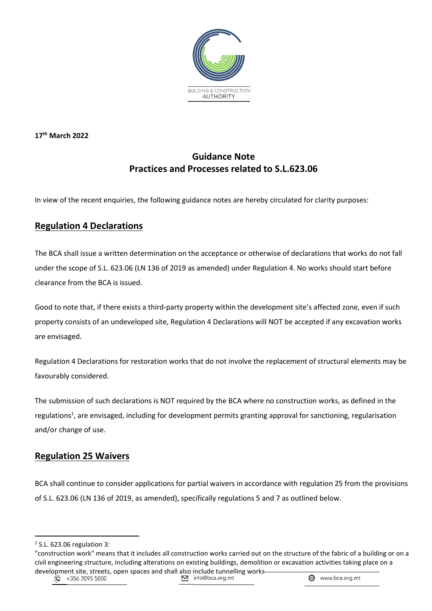

17<sup>th</sup> March 2022

# Guidance Note Practices and Processes related to S.L.623.06

In view of the recent enquiries, the following guidance notes are hereby circulated for clarity purposes:

## Regulation 4 Declarations

The BCA shall issue a written determination on the acceptance or otherwise of declarations that works do not fall under the scope of S.L. 623.06 (LN 136 of 2019 as amended) under Regulation 4. No works should start before clearance from the BCA is issued.

Good to note that, if there exists a third-party property within the development site's affected zone, even if such property consists of an undeveloped site, Regulation 4 Declarations will NOT be accepted if any excavation works are envisaged.

Regulation 4 Declarations for restoration works that do not involve the replacement of structural elements may be favourably considered.

The submission of such declarations is NOT required by the BCA where no construction works, as defined in the regulations<sup>1</sup>, are envisaged, including for development permits granting approval for sanctioning, regularisation and/or change of use.

### Regulation 25 Waivers

BCA shall continue to consider applications for partial waivers in accordance with regulation 25 from the provisions of S.L. 623.06 (LN 136 of 2019, as amended), specifically regulations 5 and 7 as outlined below.

 $<sup>1</sup>$  S.L. 623.06 regulation 3:</sup>

<sup>&</sup>quot;construction work" means that it includes all construction works carried out on the structure of the fabric of a building or on a civil engineering structure, including alterations on existing buildings, demolition or excavation activities taking place on a development site, streets, open spaces and shall also include tunnelling works-<br>  $\bigotimes$  +356 2095 5000<br>  $\bigotimes$  info@bca.org.mt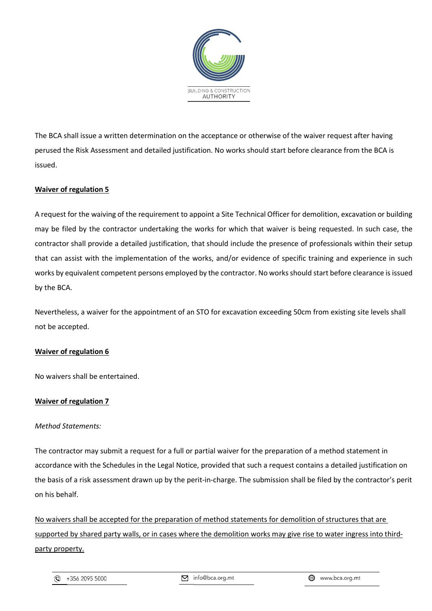

The BCA shall issue a written determination on the acceptance or otherwise of the waiver request after having perused the Risk Assessment and detailed justification. No works should start before clearance from the BCA is issued.

#### Waiver of regulation 5

A request for the waiving of the requirement to appoint a Site Technical Officer for demolition, excavation or building may be filed by the contractor undertaking the works for which that waiver is being requested. In such case, the contractor shall provide a detailed justification, that should include the presence of professionals within their setup that can assist with the implementation of the works, and/or evidence of specific training and experience in such works by equivalent competent persons employed by the contractor. No works should start before clearance is issued by the BCA.

Nevertheless, a waiver for the appointment of an STO for excavation exceeding 50cm from existing site levels shall not be accepted.

#### Waiver of regulation 6

No waivers shall be entertained.

#### Waiver of regulation 7

#### Method Statements:

The contractor may submit a request for a full or partial waiver for the preparation of a method statement in accordance with the Schedules in the Legal Notice, provided that such a request contains a detailed justification on the basis of a risk assessment drawn up by the perit-in-charge. The submission shall be filed by the contractor's perit on his behalf.

No waivers shall be accepted for the preparation of method statements for demolition of structures that are supported by shared party walls, or in cases where the demolition works may give rise to water ingress into thirdparty property.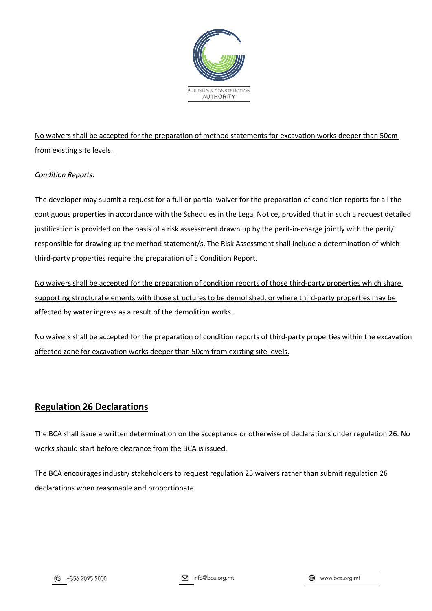

No waivers shall be accepted for the preparation of method statements for excavation works deeper than 50cm from existing site levels.

### Condition Reports:

The developer may submit a request for a full or partial waiver for the preparation of condition reports for all the contiguous properties in accordance with the Schedules in the Legal Notice, provided that in such a request detailed justification is provided on the basis of a risk assessment drawn up by the perit-in-charge jointly with the perit/i responsible for drawing up the method statement/s. The Risk Assessment shall include a determination of which third-party properties require the preparation of a Condition Report.

No waivers shall be accepted for the preparation of condition reports of those third-party properties which share supporting structural elements with those structures to be demolished, or where third-party properties may be affected by water ingress as a result of the demolition works.

No waivers shall be accepted for the preparation of condition reports of third-party properties within the excavation affected zone for excavation works deeper than 50cm from existing site levels.

## Regulation 26 Declarations

The BCA shall issue a written determination on the acceptance or otherwise of declarations under regulation 26. No works should start before clearance from the BCA is issued.

The BCA encourages industry stakeholders to request regulation 25 waivers rather than submit regulation 26 declarations when reasonable and proportionate.